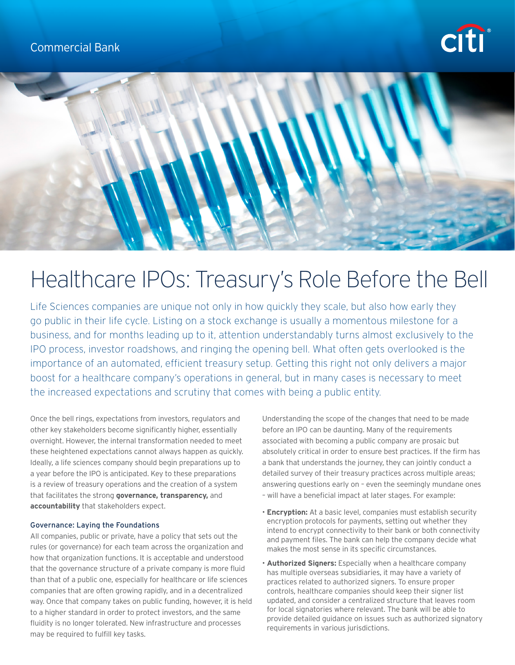



# Healthcare IPOs: Treasury's Role Before the Bell

Life Sciences companies are unique not only in how quickly they scale, but also how early they go public in their life cycle. Listing on a stock exchange is usually a momentous milestone for a business, and for months leading up to it, attention understandably turns almost exclusively to the IPO process, investor roadshows, and ringing the opening bell. What often gets overlooked is the importance of an automated, efficient treasury setup. Getting this right not only delivers a major boost for a healthcare company's operations in general, but in many cases is necessary to meet the increased expectations and scrutiny that comes with being a public entity.

Once the bell rings, expectations from investors, regulators and other key stakeholders become significantly higher, essentially overnight. However, the internal transformation needed to meet these heightened expectations cannot always happen as quickly. Ideally, a life sciences company should begin preparations up to a year before the IPO is anticipated. Key to these preparations is a review of treasury operations and the creation of a system that facilitates the strong **governance, transparency,** and **accountability** that stakeholders expect.

## Governance: Laying the Foundations

All companies, public or private, have a policy that sets out the rules (or governance) for each team across the organization and how that organization functions. It is acceptable and understood that the governance structure of a private company is more fluid than that of a public one, especially for healthcare or life sciences companies that are often growing rapidly, and in a decentralized way. Once that company takes on public funding, however, it is held to a higher standard in order to protect investors, and the same fluidity is no longer tolerated. New infrastructure and processes may be required to fulfill key tasks.

Understanding the scope of the changes that need to be made before an IPO can be daunting. Many of the requirements associated with becoming a public company are prosaic but absolutely critical in order to ensure best practices. If the firm has a bank that understands the journey, they can jointly conduct a detailed survey of their treasury practices across multiple areas; answering questions early on – even the seemingly mundane ones – will have a beneficial impact at later stages. For example:

- **Encryption:** At a basic level, companies must establish security
- encryption protocols for payments, setting out whether they intend to encrypt connectivity to their bank or both connectivity and payment files. The bank can help the company decide what makes the most sense in its specific circumstances.
- **Authorized Signers:** Especially when a healthcare company has multiple overseas subsidiaries, it may have a variety of practices related to authorized signers. To ensure proper controls, healthcare companies should keep their signer list updated, and consider a centralized structure that leaves room for local signatories where relevant. The bank will be able to provide detailed guidance on issues such as authorized signatory requirements in various jurisdictions.